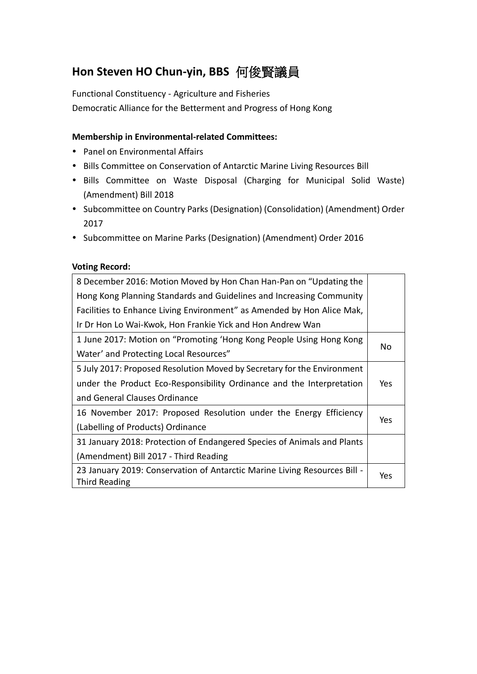## **Hon Steven HO Chun-yin, BBS** 何俊賢議員

Functional Constituency - Agriculture and Fisheries Democratic Alliance for the Betterment and Progress of Hong Kong

#### **Membership in Environmental-related Committees:**

- Panel on Environmental Affairs
- Bills Committee on Conservation of Antarctic Marine Living Resources Bill
- Bills Committee on Waste Disposal (Charging for Municipal Solid Waste) (Amendment) Bill 2018
- Subcommittee on Country Parks (Designation) (Consolidation) (Amendment) Order 2017
- Subcommittee on Marine Parks (Designation) (Amendment) Order 2016

#### **Voting Record:**

| 8 December 2016: Motion Moved by Hon Chan Han-Pan on "Updating the        |     |
|---------------------------------------------------------------------------|-----|
| Hong Kong Planning Standards and Guidelines and Increasing Community      |     |
| Facilities to Enhance Living Environment" as Amended by Hon Alice Mak,    |     |
| Ir Dr Hon Lo Wai-Kwok, Hon Frankie Yick and Hon Andrew Wan                |     |
| 1 June 2017: Motion on "Promoting 'Hong Kong People Using Hong Kong       |     |
| Water' and Protecting Local Resources"                                    | No  |
| 5 July 2017: Proposed Resolution Moved by Secretary for the Environment   |     |
| under the Product Eco-Responsibility Ordinance and the Interpretation     | Yes |
| and General Clauses Ordinance                                             |     |
| 16 November 2017: Proposed Resolution under the Energy Efficiency         |     |
| (Labelling of Products) Ordinance                                         | Yes |
| 31 January 2018: Protection of Endangered Species of Animals and Plants   |     |
| (Amendment) Bill 2017 - Third Reading                                     |     |
| 23 January 2019: Conservation of Antarctic Marine Living Resources Bill - | Yes |
| <b>Third Reading</b>                                                      |     |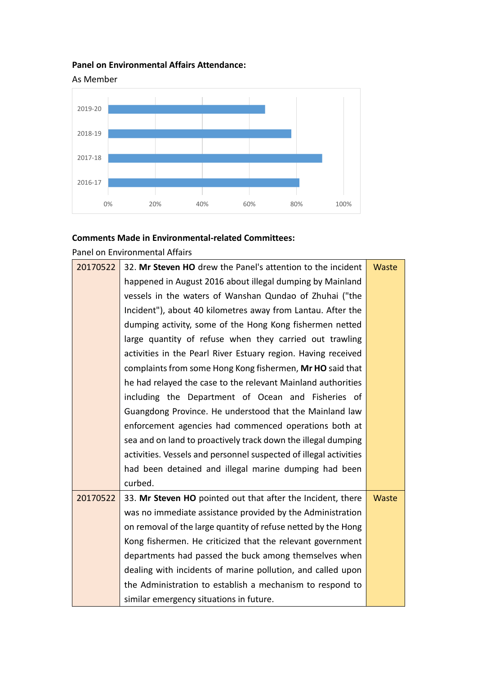### **Panel on Environmental Affairs Attendance:**



#### **Comments Made in Environmental-related Committees:**

Panel on Environmental Affairs

| 20170522 | 32. Mr Steven HO drew the Panel's attention to the incident       | Waste        |
|----------|-------------------------------------------------------------------|--------------|
|          | happened in August 2016 about illegal dumping by Mainland         |              |
|          | vessels in the waters of Wanshan Qundao of Zhuhai ("the           |              |
|          | Incident"), about 40 kilometres away from Lantau. After the       |              |
|          | dumping activity, some of the Hong Kong fishermen netted          |              |
|          | large quantity of refuse when they carried out trawling           |              |
|          | activities in the Pearl River Estuary region. Having received     |              |
|          | complaints from some Hong Kong fishermen, Mr HO said that         |              |
|          | he had relayed the case to the relevant Mainland authorities      |              |
|          | including the Department of Ocean and Fisheries of                |              |
|          | Guangdong Province. He understood that the Mainland law           |              |
|          | enforcement agencies had commenced operations both at             |              |
|          | sea and on land to proactively track down the illegal dumping     |              |
|          | activities. Vessels and personnel suspected of illegal activities |              |
|          | had been detained and illegal marine dumping had been             |              |
|          | curbed.                                                           |              |
| 20170522 | 33. Mr Steven HO pointed out that after the Incident, there       | <b>Waste</b> |
|          | was no immediate assistance provided by the Administration        |              |
|          | on removal of the large quantity of refuse netted by the Hong     |              |
|          | Kong fishermen. He criticized that the relevant government        |              |
|          | departments had passed the buck among themselves when             |              |
|          | dealing with incidents of marine pollution, and called upon       |              |
|          | the Administration to establish a mechanism to respond to         |              |
|          | similar emergency situations in future.                           |              |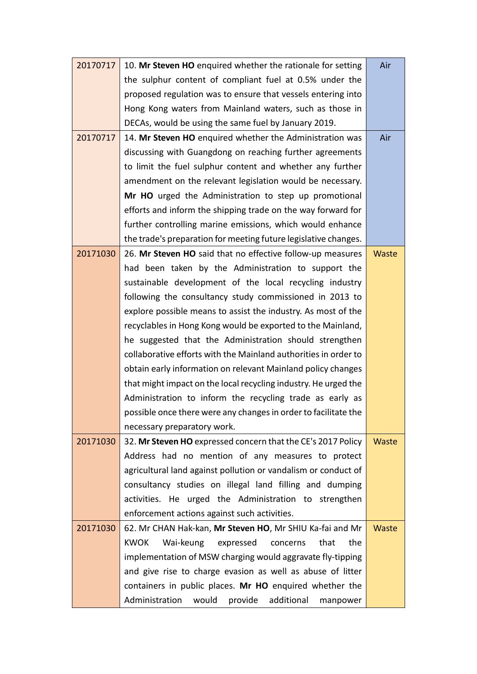| 20170717 | 10. Mr Steven HO enquired whether the rationale for setting      | Air   |
|----------|------------------------------------------------------------------|-------|
|          | the sulphur content of compliant fuel at 0.5% under the          |       |
|          |                                                                  |       |
|          | proposed regulation was to ensure that vessels entering into     |       |
|          | Hong Kong waters from Mainland waters, such as those in          |       |
|          | DECAs, would be using the same fuel by January 2019.             |       |
| 20170717 | 14. Mr Steven HO enquired whether the Administration was         | Air   |
|          | discussing with Guangdong on reaching further agreements         |       |
|          | to limit the fuel sulphur content and whether any further        |       |
|          | amendment on the relevant legislation would be necessary.        |       |
|          | Mr HO urged the Administration to step up promotional            |       |
|          | efforts and inform the shipping trade on the way forward for     |       |
|          | further controlling marine emissions, which would enhance        |       |
|          | the trade's preparation for meeting future legislative changes.  |       |
| 20171030 | 26. Mr Steven HO said that no effective follow-up measures       | Waste |
|          | had been taken by the Administration to support the              |       |
|          | sustainable development of the local recycling industry          |       |
|          | following the consultancy study commissioned in 2013 to          |       |
|          | explore possible means to assist the industry. As most of the    |       |
|          | recyclables in Hong Kong would be exported to the Mainland,      |       |
|          | he suggested that the Administration should strengthen           |       |
|          | collaborative efforts with the Mainland authorities in order to  |       |
|          | obtain early information on relevant Mainland policy changes     |       |
|          | that might impact on the local recycling industry. He urged the  |       |
|          | Administration to inform the recycling trade as early as         |       |
|          | possible once there were any changes in order to facilitate the  |       |
|          | necessary preparatory work.                                      |       |
| 20171030 | 32. Mr Steven HO expressed concern that the CE's 2017 Policy     | Waste |
|          | Address had no mention of any measures to protect                |       |
|          | agricultural land against pollution or vandalism or conduct of   |       |
|          | consultancy studies on illegal land filling and dumping          |       |
|          | activities. He urged the Administration to strengthen            |       |
|          | enforcement actions against such activities.                     |       |
| 20171030 | 62. Mr CHAN Hak-kan, Mr Steven HO, Mr SHIU Ka-fai and Mr         | Waste |
|          | <b>KWOK</b><br>Wai-keung<br>that<br>the<br>expressed<br>concerns |       |
|          | implementation of MSW charging would aggravate fly-tipping       |       |
|          | and give rise to charge evasion as well as abuse of litter       |       |
|          | containers in public places. Mr HO enquired whether the          |       |
|          | Administration<br>would<br>additional<br>provide<br>manpower     |       |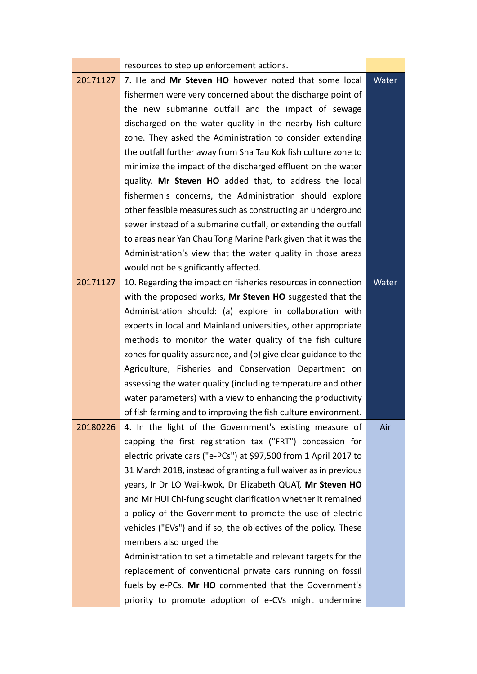|          | resources to step up enforcement actions.                        |       |
|----------|------------------------------------------------------------------|-------|
| 20171127 | 7. He and Mr Steven HO however noted that some local             | Water |
|          | fishermen were very concerned about the discharge point of       |       |
|          | the new submarine outfall and the impact of sewage               |       |
|          | discharged on the water quality in the nearby fish culture       |       |
|          | zone. They asked the Administration to consider extending        |       |
|          | the outfall further away from Sha Tau Kok fish culture zone to   |       |
|          | minimize the impact of the discharged effluent on the water      |       |
|          | quality. Mr Steven HO added that, to address the local           |       |
|          | fishermen's concerns, the Administration should explore          |       |
|          | other feasible measures such as constructing an underground      |       |
|          | sewer instead of a submarine outfall, or extending the outfall   |       |
|          | to areas near Yan Chau Tong Marine Park given that it was the    |       |
|          | Administration's view that the water quality in those areas      |       |
|          | would not be significantly affected.                             |       |
| 20171127 | 10. Regarding the impact on fisheries resources in connection    | Water |
|          | with the proposed works, Mr Steven HO suggested that the         |       |
|          | Administration should: (a) explore in collaboration with         |       |
|          | experts in local and Mainland universities, other appropriate    |       |
|          | methods to monitor the water quality of the fish culture         |       |
|          | zones for quality assurance, and (b) give clear guidance to the  |       |
|          | Agriculture, Fisheries and Conservation Department on            |       |
|          | assessing the water quality (including temperature and other     |       |
|          | water parameters) with a view to enhancing the productivity      |       |
|          | of fish farming and to improving the fish culture environment.   |       |
| 20180226 | 4. In the light of the Government's existing measure of          | Air   |
|          | capping the first registration tax ("FRT") concession for        |       |
|          | electric private cars ("e-PCs") at \$97,500 from 1 April 2017 to |       |
|          | 31 March 2018, instead of granting a full waiver as in previous  |       |
|          | years, Ir Dr LO Wai-kwok, Dr Elizabeth QUAT, Mr Steven HO        |       |
|          | and Mr HUI Chi-fung sought clarification whether it remained     |       |
|          | a policy of the Government to promote the use of electric        |       |
|          | vehicles ("EVs") and if so, the objectives of the policy. These  |       |
|          | members also urged the                                           |       |
|          | Administration to set a timetable and relevant targets for the   |       |
|          | replacement of conventional private cars running on fossil       |       |
|          | fuels by e-PCs. Mr HO commented that the Government's            |       |
|          | priority to promote adoption of e-CVs might undermine            |       |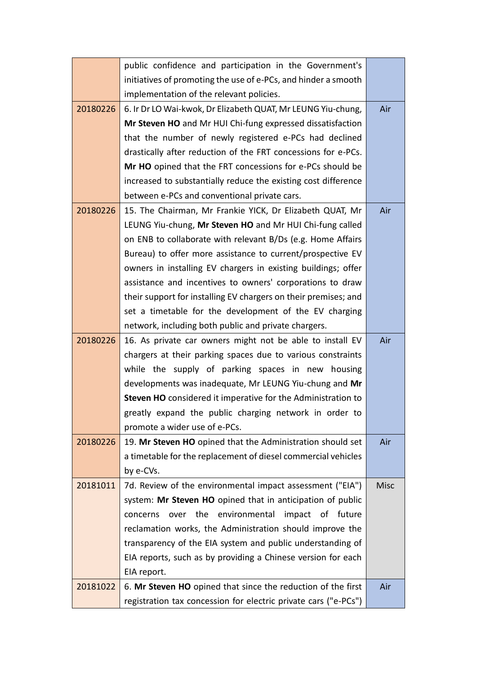|          | public confidence and participation in the Government's         |             |
|----------|-----------------------------------------------------------------|-------------|
|          | initiatives of promoting the use of e-PCs, and hinder a smooth  |             |
|          | implementation of the relevant policies.                        |             |
| 20180226 | 6. Ir Dr LO Wai-kwok, Dr Elizabeth QUAT, Mr LEUNG Yiu-chung,    | Air         |
|          | Mr Steven HO and Mr HUI Chi-fung expressed dissatisfaction      |             |
|          | that the number of newly registered e-PCs had declined          |             |
|          | drastically after reduction of the FRT concessions for e-PCs.   |             |
|          | Mr HO opined that the FRT concessions for e-PCs should be       |             |
|          | increased to substantially reduce the existing cost difference  |             |
|          | between e-PCs and conventional private cars.                    |             |
| 20180226 | 15. The Chairman, Mr Frankie YICK, Dr Elizabeth QUAT, Mr        | Air         |
|          | LEUNG Yiu-chung, Mr Steven HO and Mr HUI Chi-fung called        |             |
|          | on ENB to collaborate with relevant B/Ds (e.g. Home Affairs     |             |
|          | Bureau) to offer more assistance to current/prospective EV      |             |
|          | owners in installing EV chargers in existing buildings; offer   |             |
|          | assistance and incentives to owners' corporations to draw       |             |
|          | their support for installing EV chargers on their premises; and |             |
|          | set a timetable for the development of the EV charging          |             |
|          | network, including both public and private chargers.            |             |
| 20180226 | 16. As private car owners might not be able to install EV       | Air         |
|          | chargers at their parking spaces due to various constraints     |             |
|          | while the supply of parking spaces in new housing               |             |
|          | developments was inadequate, Mr LEUNG Yiu-chung and Mr          |             |
|          | Steven HO considered it imperative for the Administration to    |             |
|          | greatly expand the public charging network in order to          |             |
|          | promote a wider use of e-PCs.                                   |             |
| 20180226 | 19. Mr Steven HO opined that the Administration should set      | Air         |
|          | a timetable for the replacement of diesel commercial vehicles   |             |
|          | by e-CVs.                                                       |             |
| 20181011 | 7d. Review of the environmental impact assessment ("EIA")       | <b>Misc</b> |
|          | system: Mr Steven HO opined that in anticipation of public      |             |
|          | over the<br>environmental<br>impact of future<br>concerns       |             |
|          | reclamation works, the Administration should improve the        |             |
|          | transparency of the EIA system and public understanding of      |             |
|          | EIA reports, such as by providing a Chinese version for each    |             |
|          | EIA report.                                                     |             |
| 20181022 | 6. Mr Steven HO opined that since the reduction of the first    | Air         |
|          | registration tax concession for electric private cars ("e-PCs") |             |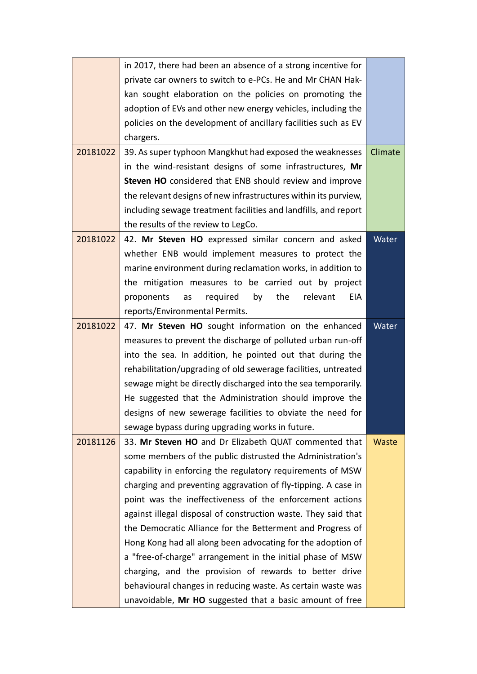|          | in 2017, there had been an absence of a strong incentive for    |         |
|----------|-----------------------------------------------------------------|---------|
|          | private car owners to switch to e-PCs. He and Mr CHAN Hak-      |         |
|          | kan sought elaboration on the policies on promoting the         |         |
|          | adoption of EVs and other new energy vehicles, including the    |         |
|          | policies on the development of ancillary facilities such as EV  |         |
|          | chargers.                                                       |         |
| 20181022 | 39. As super typhoon Mangkhut had exposed the weaknesses        | Climate |
|          | in the wind-resistant designs of some infrastructures, Mr       |         |
|          | Steven HO considered that ENB should review and improve         |         |
|          | the relevant designs of new infrastructures within its purview, |         |
|          | including sewage treatment facilities and landfills, and report |         |
|          | the results of the review to LegCo.                             |         |
| 20181022 | 42. Mr Steven HO expressed similar concern and asked            | Water   |
|          | whether ENB would implement measures to protect the             |         |
|          | marine environment during reclamation works, in addition to     |         |
|          | the mitigation measures to be carried out by project            |         |
|          | required<br>by<br>the<br>relevant<br>EIA<br>proponents<br>as    |         |
|          | reports/Environmental Permits.                                  |         |
| 20181022 | 47. Mr Steven HO sought information on the enhanced             | Water   |
|          | measures to prevent the discharge of polluted urban run-off     |         |
|          | into the sea. In addition, he pointed out that during the       |         |
|          | rehabilitation/upgrading of old sewerage facilities, untreated  |         |
|          | sewage might be directly discharged into the sea temporarily.   |         |
|          | He suggested that the Administration should improve the         |         |
|          | designs of new sewerage facilities to obviate the need for      |         |
|          | sewage bypass during upgrading works in future.                 |         |
| 20181126 | 33. Mr Steven HO and Dr Elizabeth QUAT commented that           | Waste   |
|          | some members of the public distrusted the Administration's      |         |
|          | capability in enforcing the regulatory requirements of MSW      |         |
|          | charging and preventing aggravation of fly-tipping. A case in   |         |
|          | point was the ineffectiveness of the enforcement actions        |         |
|          | against illegal disposal of construction waste. They said that  |         |
|          | the Democratic Alliance for the Betterment and Progress of      |         |
|          | Hong Kong had all along been advocating for the adoption of     |         |
|          | a "free-of-charge" arrangement in the initial phase of MSW      |         |
|          | charging, and the provision of rewards to better drive          |         |
|          | behavioural changes in reducing waste. As certain waste was     |         |
|          | unavoidable, Mr HO suggested that a basic amount of free        |         |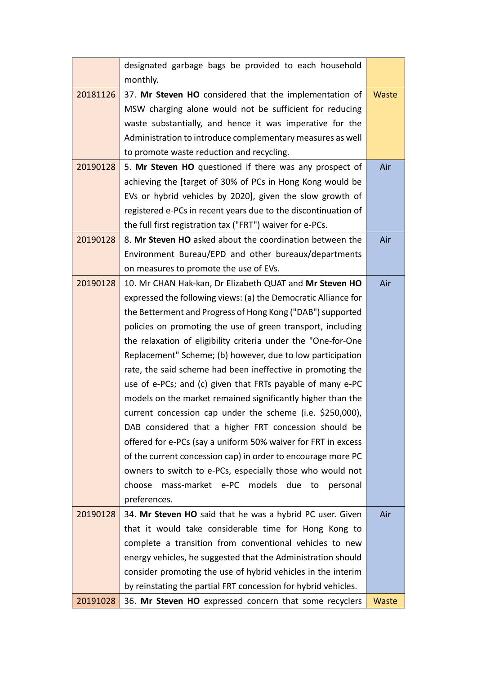|          | designated garbage bags be provided to each household          |       |
|----------|----------------------------------------------------------------|-------|
|          | monthly.                                                       |       |
| 20181126 | 37. Mr Steven HO considered that the implementation of         | Waste |
|          | MSW charging alone would not be sufficient for reducing        |       |
|          | waste substantially, and hence it was imperative for the       |       |
|          | Administration to introduce complementary measures as well     |       |
|          | to promote waste reduction and recycling.                      |       |
| 20190128 | 5. Mr Steven HO questioned if there was any prospect of        | Air   |
|          | achieving the [target of 30% of PCs in Hong Kong would be      |       |
|          | EVs or hybrid vehicles by 2020], given the slow growth of      |       |
|          | registered e-PCs in recent years due to the discontinuation of |       |
|          | the full first registration tax ("FRT") waiver for e-PCs.      |       |
| 20190128 | 8. Mr Steven HO asked about the coordination between the       | Air   |
|          | Environment Bureau/EPD and other bureaux/departments           |       |
|          | on measures to promote the use of EVs.                         |       |
| 20190128 | 10. Mr CHAN Hak-kan, Dr Elizabeth QUAT and Mr Steven HO        | Air   |
|          | expressed the following views: (a) the Democratic Alliance for |       |
|          | the Betterment and Progress of Hong Kong ("DAB") supported     |       |
|          | policies on promoting the use of green transport, including    |       |
|          | the relaxation of eligibility criteria under the "One-for-One  |       |
|          | Replacement" Scheme; (b) however, due to low participation     |       |
|          | rate, the said scheme had been ineffective in promoting the    |       |
|          | use of e-PCs; and (c) given that FRTs payable of many e-PC     |       |
|          | models on the market remained significantly higher than the    |       |
|          | current concession cap under the scheme (i.e. \$250,000),      |       |
|          | DAB considered that a higher FRT concession should be          |       |
|          | offered for e-PCs (say a uniform 50% waiver for FRT in excess  |       |
|          | of the current concession cap) in order to encourage more PC   |       |
|          | owners to switch to e-PCs, especially those who would not      |       |
|          | mass-market e-PC models<br>choose<br>due<br>personal<br>to     |       |
|          | preferences.                                                   |       |
| 20190128 | 34. Mr Steven HO said that he was a hybrid PC user. Given      | Air   |
|          | that it would take considerable time for Hong Kong to          |       |
|          | complete a transition from conventional vehicles to new        |       |
|          | energy vehicles, he suggested that the Administration should   |       |
|          | consider promoting the use of hybrid vehicles in the interim   |       |
|          | by reinstating the partial FRT concession for hybrid vehicles. |       |
| 20191028 | 36. Mr Steven HO expressed concern that some recyclers         | Waste |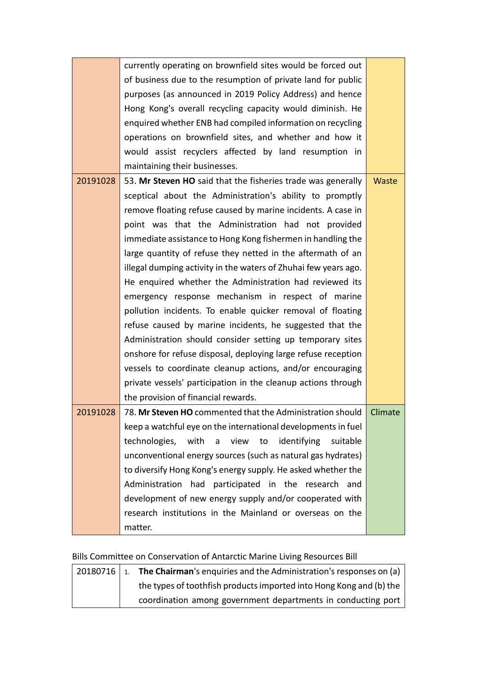|          | currently operating on brownfield sites would be forced out         |       |
|----------|---------------------------------------------------------------------|-------|
|          | of business due to the resumption of private land for public        |       |
|          | purposes (as announced in 2019 Policy Address) and hence            |       |
|          | Hong Kong's overall recycling capacity would diminish. He           |       |
|          | enquired whether ENB had compiled information on recycling          |       |
|          | operations on brownfield sites, and whether and how it              |       |
|          | would assist recyclers affected by land resumption in               |       |
|          | maintaining their businesses.                                       |       |
| 20191028 | 53. Mr Steven HO said that the fisheries trade was generally        | Waste |
|          | sceptical about the Administration's ability to promptly            |       |
|          | remove floating refuse caused by marine incidents. A case in        |       |
|          | point was that the Administration had not provided                  |       |
|          | immediate assistance to Hong Kong fishermen in handling the         |       |
|          | large quantity of refuse they netted in the aftermath of an         |       |
|          | illegal dumping activity in the waters of Zhuhai few years ago.     |       |
|          | He enquired whether the Administration had reviewed its             |       |
|          | emergency response mechanism in respect of marine                   |       |
|          | pollution incidents. To enable quicker removal of floating          |       |
|          | refuse caused by marine incidents, he suggested that the            |       |
|          | Administration should consider setting up temporary sites           |       |
|          | onshore for refuse disposal, deploying large refuse reception       |       |
|          | vessels to coordinate cleanup actions, and/or encouraging           |       |
|          | private vessels' participation in the cleanup actions through       |       |
|          | the provision of financial rewards.                                 |       |
| 20191028 | 78. Mr Steven HO commented that the Administration should   Climate |       |
|          | keep a watchful eye on the international developments in fuel       |       |
|          | technologies,<br>with a view to identifying<br>suitable             |       |
|          | unconventional energy sources (such as natural gas hydrates)        |       |
|          | to diversify Hong Kong's energy supply. He asked whether the        |       |
|          | Administration had participated in the research and                 |       |
|          | development of new energy supply and/or cooperated with             |       |
|          | research institutions in the Mainland or overseas on the            |       |
|          | matter.                                                             |       |

# Bills Committee on Conservation of Antarctic Marine Living Resources Bill

| 20180716   1. | The Chairman's enquiries and the Administration's responses on (a)  |
|---------------|---------------------------------------------------------------------|
|               | the types of toothfish products imported into Hong Kong and (b) the |
|               | coordination among government departments in conducting port        |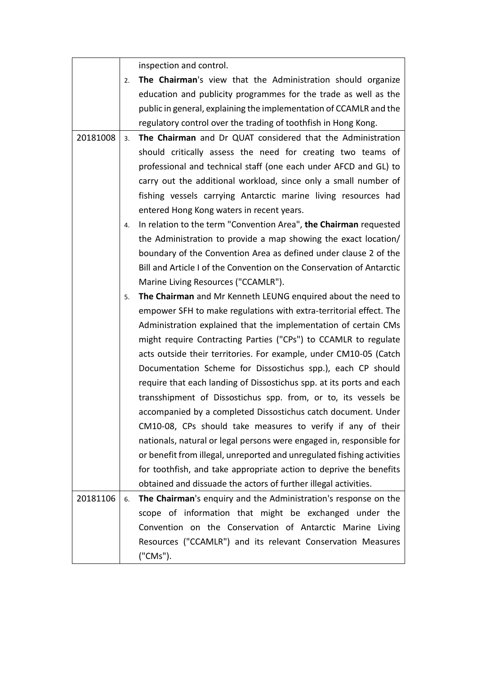|          |    | inspection and control.                                                |
|----------|----|------------------------------------------------------------------------|
|          | 2. | The Chairman's view that the Administration should organize            |
|          |    | education and publicity programmes for the trade as well as the        |
|          |    | public in general, explaining the implementation of CCAMLR and the     |
|          |    | regulatory control over the trading of toothfish in Hong Kong.         |
| 20181008 | 3. | The Chairman and Dr QUAT considered that the Administration            |
|          |    | should critically assess the need for creating two teams of            |
|          |    | professional and technical staff (one each under AFCD and GL) to       |
|          |    | carry out the additional workload, since only a small number of        |
|          |    | fishing vessels carrying Antarctic marine living resources had         |
|          |    | entered Hong Kong waters in recent years.                              |
|          | 4. | In relation to the term "Convention Area", the Chairman requested      |
|          |    | the Administration to provide a map showing the exact location/        |
|          |    | boundary of the Convention Area as defined under clause 2 of the       |
|          |    | Bill and Article I of the Convention on the Conservation of Antarctic  |
|          |    | Marine Living Resources ("CCAMLR").                                    |
|          | 5. | The Chairman and Mr Kenneth LEUNG enquired about the need to           |
|          |    | empower SFH to make regulations with extra-territorial effect. The     |
|          |    | Administration explained that the implementation of certain CMs        |
|          |    | might require Contracting Parties ("CPs") to CCAMLR to regulate        |
|          |    | acts outside their territories. For example, under CM10-05 (Catch      |
|          |    | Documentation Scheme for Dissostichus spp.), each CP should            |
|          |    | require that each landing of Dissostichus spp. at its ports and each   |
|          |    | transshipment of Dissostichus spp. from, or to, its vessels be         |
|          |    | accompanied by a completed Dissostichus catch document. Under          |
|          |    | CM10-08, CPs should take measures to verify if any of their            |
|          |    | nationals, natural or legal persons were engaged in, responsible for   |
|          |    | or benefit from illegal, unreported and unregulated fishing activities |
|          |    | for toothfish, and take appropriate action to deprive the benefits     |
|          |    | obtained and dissuade the actors of further illegal activities.        |
| 20181106 | 6. | The Chairman's enquiry and the Administration's response on the        |
|          |    | scope of information that might be exchanged under the                 |
|          |    | Convention on the Conservation of Antarctic Marine Living              |
|          |    | Resources ("CCAMLR") and its relevant Conservation Measures            |
|          |    | ("CMs").                                                               |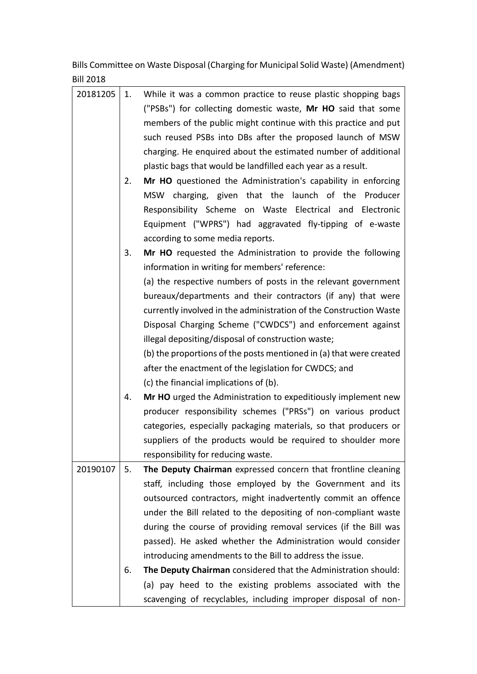Bills Committee on Waste Disposal (Charging for Municipal Solid Waste) (Amendment) Bill 2018

| 20181205 | 1. | While it was a common practice to reuse plastic shopping bags       |
|----------|----|---------------------------------------------------------------------|
|          |    | ("PSBs") for collecting domestic waste, Mr HO said that some        |
|          |    | members of the public might continue with this practice and put     |
|          |    | such reused PSBs into DBs after the proposed launch of MSW          |
|          |    | charging. He enquired about the estimated number of additional      |
|          |    | plastic bags that would be landfilled each year as a result.        |
|          | 2. | Mr HO questioned the Administration's capability in enforcing       |
|          |    | MSW charging, given that the launch of the Producer                 |
|          |    | Responsibility Scheme on Waste Electrical and Electronic            |
|          |    | Equipment ("WPRS") had aggravated fly-tipping of e-waste            |
|          |    | according to some media reports.                                    |
|          |    |                                                                     |
|          | 3. | Mr HO requested the Administration to provide the following         |
|          |    | information in writing for members' reference:                      |
|          |    | (a) the respective numbers of posts in the relevant government      |
|          |    | bureaux/departments and their contractors (if any) that were        |
|          |    | currently involved in the administration of the Construction Waste  |
|          |    | Disposal Charging Scheme ("CWDCS") and enforcement against          |
|          |    | illegal depositing/disposal of construction waste;                  |
|          |    | (b) the proportions of the posts mentioned in (a) that were created |
|          |    | after the enactment of the legislation for CWDCS; and               |
|          |    | (c) the financial implications of (b).                              |
|          | 4. | Mr HO urged the Administration to expeditiously implement new       |
|          |    | producer responsibility schemes ("PRSs") on various product         |
|          |    | categories, especially packaging materials, so that producers or    |
|          |    | suppliers of the products would be required to shoulder more        |
|          |    | responsibility for reducing waste.                                  |
| 20190107 | 5. | The Deputy Chairman expressed concern that frontline cleaning       |
|          |    | staff, including those employed by the Government and its           |
|          |    | outsourced contractors, might inadvertently commit an offence       |
|          |    | under the Bill related to the depositing of non-compliant waste     |
|          |    | during the course of providing removal services (if the Bill was    |
|          |    | passed). He asked whether the Administration would consider         |
|          |    | introducing amendments to the Bill to address the issue.            |
|          | 6. | The Deputy Chairman considered that the Administration should:      |
|          |    | (a) pay heed to the existing problems associated with the           |
|          |    | scavenging of recyclables, including improper disposal of non-      |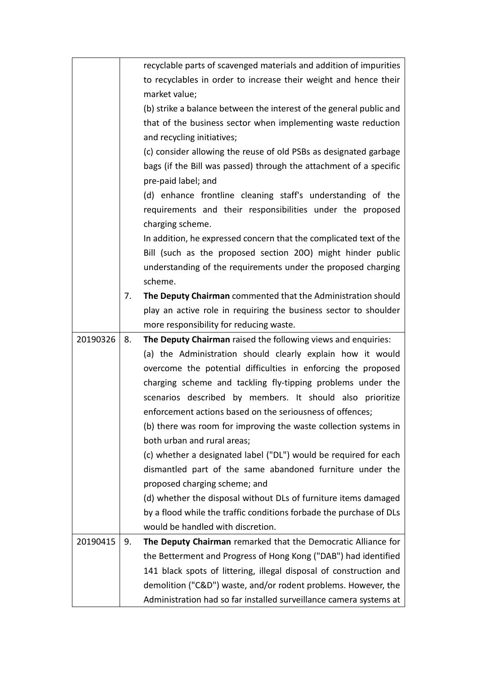|          |    | recyclable parts of scavenged materials and addition of impurities             |
|----------|----|--------------------------------------------------------------------------------|
|          |    | to recyclables in order to increase their weight and hence their               |
|          |    | market value;                                                                  |
|          |    | (b) strike a balance between the interest of the general public and            |
|          |    | that of the business sector when implementing waste reduction                  |
|          |    | and recycling initiatives;                                                     |
|          |    | (c) consider allowing the reuse of old PSBs as designated garbage              |
|          |    | bags (if the Bill was passed) through the attachment of a specific             |
|          |    | pre-paid label; and                                                            |
|          |    | (d) enhance frontline cleaning staff's understanding of the                    |
|          |    | requirements and their responsibilities under the proposed<br>charging scheme. |
|          |    | In addition, he expressed concern that the complicated text of the             |
|          |    | Bill (such as the proposed section 200) might hinder public                    |
|          |    | understanding of the requirements under the proposed charging                  |
|          |    | scheme.                                                                        |
|          | 7. | The Deputy Chairman commented that the Administration should                   |
|          |    | play an active role in requiring the business sector to shoulder               |
|          |    | more responsibility for reducing waste.                                        |
|          |    |                                                                                |
| 20190326 | 8. | The Deputy Chairman raised the following views and enquiries:                  |
|          |    | (a) the Administration should clearly explain how it would                     |
|          |    | overcome the potential difficulties in enforcing the proposed                  |
|          |    | charging scheme and tackling fly-tipping problems under the                    |
|          |    | scenarios described by members. It should also prioritize                      |
|          |    | enforcement actions based on the seriousness of offences;                      |
|          |    | (b) there was room for improving the waste collection systems in               |
|          |    | both urban and rural areas;                                                    |
|          |    | (c) whether a designated label ("DL") would be required for each               |
|          |    | dismantled part of the same abandoned furniture under the                      |
|          |    | proposed charging scheme; and                                                  |
|          |    | (d) whether the disposal without DLs of furniture items damaged                |
|          |    | by a flood while the traffic conditions forbade the purchase of DLs            |
|          |    | would be handled with discretion.                                              |
| 20190415 | 9. | The Deputy Chairman remarked that the Democratic Alliance for                  |
|          |    | the Betterment and Progress of Hong Kong ("DAB") had identified                |
|          |    | 141 black spots of littering, illegal disposal of construction and             |
|          |    | demolition ("C&D") waste, and/or rodent problems. However, the                 |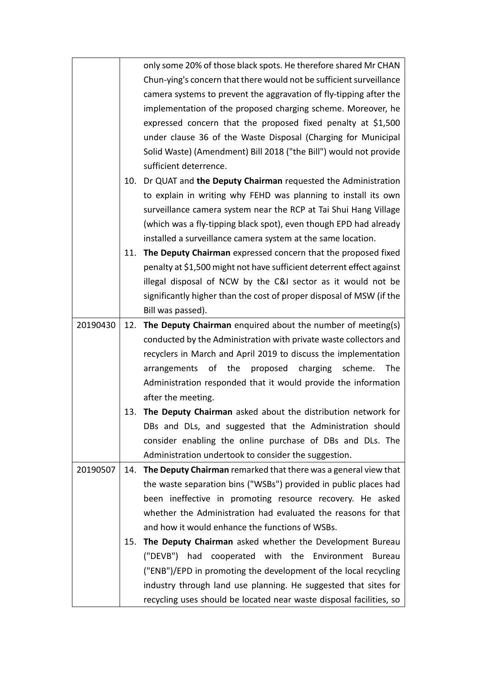|          |     | only some 20% of those black spots. He therefore shared Mr CHAN       |
|----------|-----|-----------------------------------------------------------------------|
|          |     | Chun-ying's concern that there would not be sufficient surveillance   |
|          |     | camera systems to prevent the aggravation of fly-tipping after the    |
|          |     | implementation of the proposed charging scheme. Moreover, he          |
|          |     | expressed concern that the proposed fixed penalty at \$1,500          |
|          |     | under clause 36 of the Waste Disposal (Charging for Municipal         |
|          |     | Solid Waste) (Amendment) Bill 2018 ("the Bill") would not provide     |
|          |     | sufficient deterrence.                                                |
|          | 10. | Dr QUAT and the Deputy Chairman requested the Administration          |
|          |     | to explain in writing why FEHD was planning to install its own        |
|          |     | surveillance camera system near the RCP at Tai Shui Hang Village      |
|          |     | (which was a fly-tipping black spot), even though EPD had already     |
|          |     | installed a surveillance camera system at the same location.          |
|          | 11. | The Deputy Chairman expressed concern that the proposed fixed         |
|          |     | penalty at \$1,500 might not have sufficient deterrent effect against |
|          |     | illegal disposal of NCW by the C&I sector as it would not be          |
|          |     | significantly higher than the cost of proper disposal of MSW (if the  |
|          |     | Bill was passed).                                                     |
| 20190430 |     | 12. The Deputy Chairman enquired about the number of meeting(s)       |
|          |     | conducted by the Administration with private waste collectors and     |
|          |     | recyclers in March and April 2019 to discuss the implementation       |
|          |     | arrangements of the proposed charging<br>scheme.<br>The               |
|          |     | Administration responded that it would provide the information        |
|          |     | after the meeting.                                                    |
|          | 13. | The Deputy Chairman asked about the distribution network for          |
|          |     | DBs and DLs, and suggested that the Administration should             |
|          |     | consider enabling the online purchase of DBs and DLs. The             |
|          |     | Administration undertook to consider the suggestion.                  |
| 20190507 | 14. | The Deputy Chairman remarked that there was a general view that       |
|          |     | the waste separation bins ("WSBs") provided in public places had      |
|          |     | been ineffective in promoting resource recovery. He asked             |
|          |     | whether the Administration had evaluated the reasons for that         |
|          |     | and how it would enhance the functions of WSBs.                       |
|          | 15. | The Deputy Chairman asked whether the Development Bureau              |
|          |     | ("DEVB") had cooperated with the Environment Bureau                   |
|          |     | ("ENB")/EPD in promoting the development of the local recycling       |
|          |     | industry through land use planning. He suggested that sites for       |
|          |     | recycling uses should be located near waste disposal facilities, so   |
|          |     |                                                                       |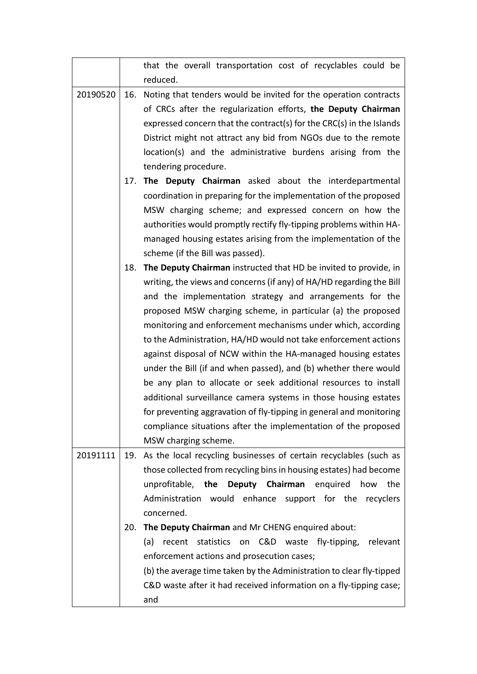|          |     | that the overall transportation cost of recyclables could be                                                                        |
|----------|-----|-------------------------------------------------------------------------------------------------------------------------------------|
|          |     | reduced.                                                                                                                            |
| 20190520 | 16. | Noting that tenders would be invited for the operation contracts                                                                    |
|          |     | of CRCs after the regularization efforts, the Deputy Chairman                                                                       |
|          |     | expressed concern that the contract(s) for the CRC(s) in the Islands                                                                |
|          |     | District might not attract any bid from NGOs due to the remote                                                                      |
|          |     | location(s) and the administrative burdens arising from the                                                                         |
|          |     | tendering procedure.                                                                                                                |
|          |     | 17. The Deputy Chairman asked about the interdepartmental                                                                           |
|          |     | coordination in preparing for the implementation of the proposed                                                                    |
|          |     | MSW charging scheme; and expressed concern on how the                                                                               |
|          |     | authorities would promptly rectify fly-tipping problems within HA-                                                                  |
|          |     | managed housing estates arising from the implementation of the                                                                      |
|          |     | scheme (if the Bill was passed).                                                                                                    |
|          | 18. | The Deputy Chairman instructed that HD be invited to provide, in                                                                    |
|          |     | writing, the views and concerns (if any) of HA/HD regarding the Bill                                                                |
|          |     | and the implementation strategy and arrangements for the                                                                            |
|          |     | proposed MSW charging scheme, in particular (a) the proposed                                                                        |
|          |     | monitoring and enforcement mechanisms under which, according                                                                        |
|          |     | to the Administration, HA/HD would not take enforcement actions                                                                     |
|          |     | against disposal of NCW within the HA-managed housing estates                                                                       |
|          |     | under the Bill (if and when passed), and (b) whether there would<br>be any plan to allocate or seek additional resources to install |
|          |     | additional surveillance camera systems in those housing estates                                                                     |
|          |     | for preventing aggravation of fly-tipping in general and monitoring                                                                 |
|          |     | compliance situations after the implementation of the proposed                                                                      |
|          |     | MSW charging scheme.                                                                                                                |
| 20191111 |     | 19. As the local recycling businesses of certain recyclables (such as                                                               |
|          |     | those collected from recycling bins in housing estates) had become                                                                  |
|          |     | unprofitable, the Deputy Chairman enquired<br>the<br>how                                                                            |
|          |     | Administration would enhance support for the recyclers                                                                              |
|          |     | concerned.                                                                                                                          |
|          | 20. | The Deputy Chairman and Mr CHENG enquired about:                                                                                    |
|          |     | recent statistics on C&D waste fly-tipping,<br>relevant<br>(a)                                                                      |
|          |     | enforcement actions and prosecution cases;                                                                                          |
|          |     | (b) the average time taken by the Administration to clear fly-tipped                                                                |
|          |     | C&D waste after it had received information on a fly-tipping case;                                                                  |
|          |     | and                                                                                                                                 |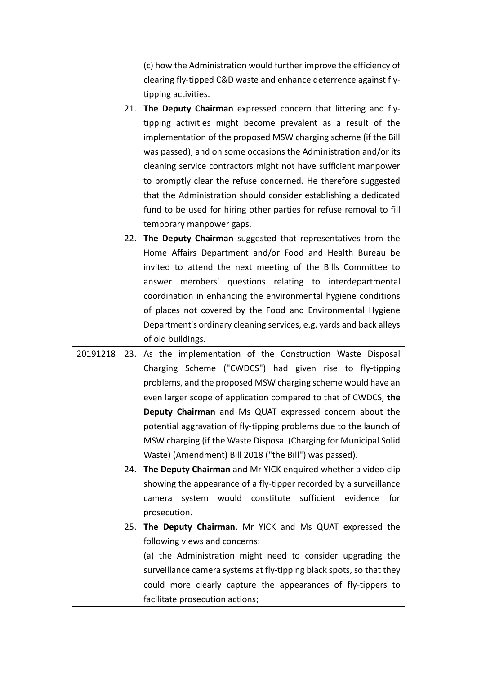(c) how the Administration would further improve the efficiency of clearing fly-tipped C&D waste and enhance deterrence against flytipping activities.

21. **The Deputy Chairman** expressed concern that littering and flytipping activities might become prevalent as a result of the implementation of the proposed MSW charging scheme (if the Bill was passed), and on some occasions the Administration and/or its cleaning service contractors might not have sufficient manpower to promptly clear the refuse concerned. He therefore suggested that the Administration should consider establishing a dedicated fund to be used for hiring other parties for refuse removal to fill temporary manpower gaps.

22. **The Deputy Chairman** suggested that representatives from the Home Affairs Department and/or Food and Health Bureau be invited to attend the next meeting of the Bills Committee to answer members' questions relating to interdepartmental coordination in enhancing the environmental hygiene conditions of places not covered by the Food and Environmental Hygiene Department's ordinary cleaning services, e.g. yards and back alleys of old buildings.

20191218 23. As the implementation of the Construction Waste Disposal Charging Scheme ("CWDCS") had given rise to fly-tipping problems, and the proposed MSW charging scheme would have an even larger scope of application compared to that of CWDCS, **the Deputy Chairman** and Ms QUAT expressed concern about the potential aggravation of fly-tipping problems due to the launch of MSW charging (if the Waste Disposal (Charging for Municipal Solid Waste) (Amendment) Bill 2018 ("the Bill") was passed).

> 24. **The Deputy Chairman** and Mr YICK enquired whether a video clip showing the appearance of a fly-tipper recorded by a surveillance camera system would constitute sufficient evidence for prosecution.

> 25. **The Deputy Chairman**, Mr YICK and Ms QUAT expressed the following views and concerns:

(a) the Administration might need to consider upgrading the surveillance camera systems at fly-tipping black spots, so that they could more clearly capture the appearances of fly-tippers to facilitate prosecution actions;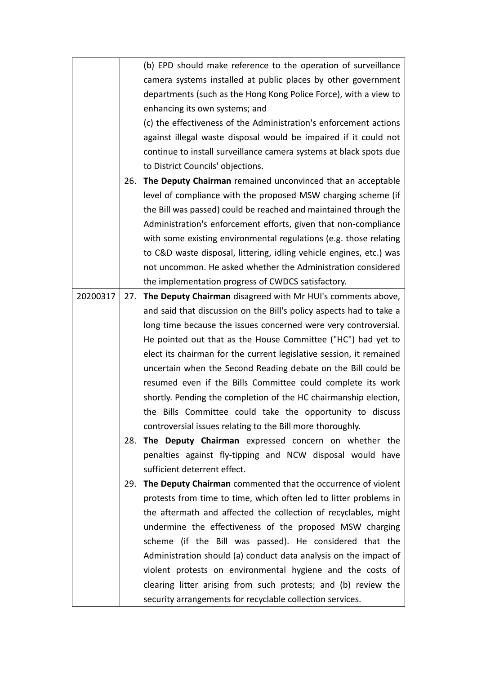|          |     | (b) EPD should make reference to the operation of surveillance      |
|----------|-----|---------------------------------------------------------------------|
|          |     | camera systems installed at public places by other government       |
|          |     | departments (such as the Hong Kong Police Force), with a view to    |
|          |     | enhancing its own systems; and                                      |
|          |     | (c) the effectiveness of the Administration's enforcement actions   |
|          |     | against illegal waste disposal would be impaired if it could not    |
|          |     | continue to install surveillance camera systems at black spots due  |
|          |     | to District Councils' objections.                                   |
|          | 26. | The Deputy Chairman remained unconvinced that an acceptable         |
|          |     | level of compliance with the proposed MSW charging scheme (if       |
|          |     | the Bill was passed) could be reached and maintained through the    |
|          |     | Administration's enforcement efforts, given that non-compliance     |
|          |     | with some existing environmental regulations (e.g. those relating   |
|          |     | to C&D waste disposal, littering, idling vehicle engines, etc.) was |
|          |     | not uncommon. He asked whether the Administration considered        |
|          |     | the implementation progress of CWDCS satisfactory.                  |
| 20200317 | 27. | The Deputy Chairman disagreed with Mr HUI's comments above,         |
|          |     | and said that discussion on the Bill's policy aspects had to take a |
|          |     | long time because the issues concerned were very controversial.     |
|          |     | He pointed out that as the House Committee ("HC") had yet to        |
|          |     | elect its chairman for the current legislative session, it remained |
|          |     | uncertain when the Second Reading debate on the Bill could be       |
|          |     | resumed even if the Bills Committee could complete its work         |
|          |     | shortly. Pending the completion of the HC chairmanship election,    |
|          |     | the Bills Committee could take the opportunity to discuss           |
|          |     | controversial issues relating to the Bill more thoroughly.          |
|          | 28. | The Deputy Chairman expressed concern on whether the                |
|          |     | penalties against fly-tipping and NCW disposal would have           |
|          |     | sufficient deterrent effect.                                        |
|          | 29. | The Deputy Chairman commented that the occurrence of violent        |
|          |     | protests from time to time, which often led to litter problems in   |
|          |     | the aftermath and affected the collection of recyclables, might     |
|          |     | undermine the effectiveness of the proposed MSW charging            |
|          |     | scheme (if the Bill was passed). He considered that the             |
|          |     | Administration should (a) conduct data analysis on the impact of    |
|          |     | violent protests on environmental hygiene and the costs of          |
|          |     | clearing litter arising from such protests; and (b) review the      |
|          |     | security arrangements for recyclable collection services.           |
|          |     |                                                                     |